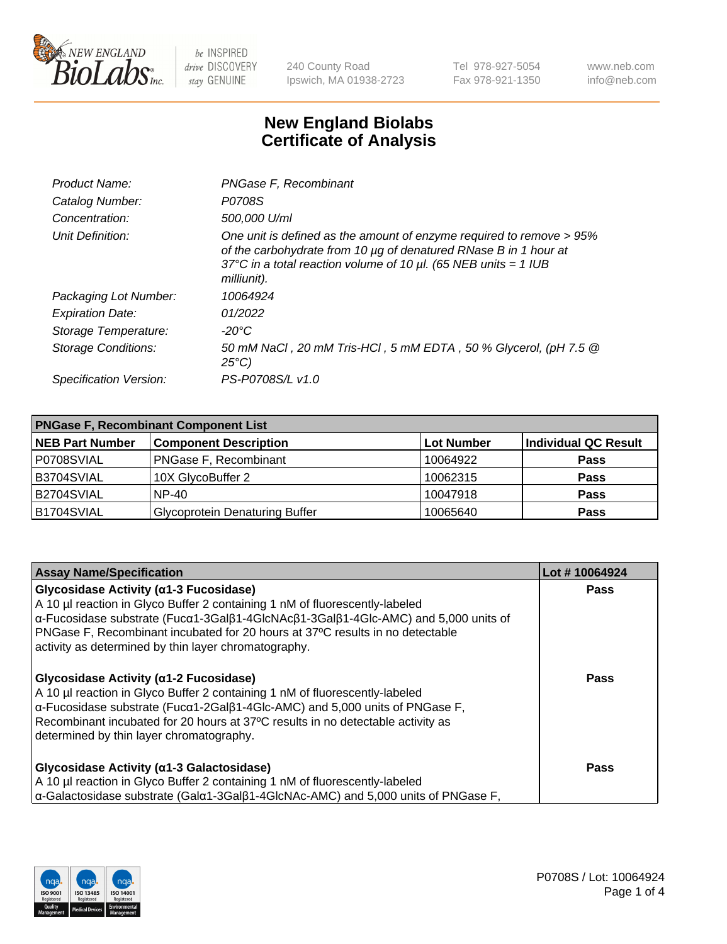

240 County Road Ipswich, MA 01938-2723 Tel 978-927-5054 Fax 978-921-1350 www.neb.com info@neb.com

## **New England Biolabs Certificate of Analysis**

| Product Name:              | PNGase F, Recombinant                                                                                                                                                                                                           |
|----------------------------|---------------------------------------------------------------------------------------------------------------------------------------------------------------------------------------------------------------------------------|
| Catalog Number:            | P0708S                                                                                                                                                                                                                          |
| Concentration:             | 500,000 U/ml                                                                                                                                                                                                                    |
| Unit Definition:           | One unit is defined as the amount of enzyme required to remove > 95%<br>of the carbohydrate from 10 µg of denatured RNase B in 1 hour at<br>37°C in a total reaction volume of 10 $\mu$ l. (65 NEB units = 1 IUB<br>milliunit). |
| Packaging Lot Number:      | 10064924                                                                                                                                                                                                                        |
| <b>Expiration Date:</b>    | 01/2022                                                                                                                                                                                                                         |
| Storage Temperature:       | -20°C                                                                                                                                                                                                                           |
| <b>Storage Conditions:</b> | 50 mM NaCl, 20 mM Tris-HCl, 5 mM EDTA, 50 % Glycerol, (pH 7.5 @<br>$25^{\circ}C$                                                                                                                                                |
| Specification Version:     | PS-P0708S/L v1.0                                                                                                                                                                                                                |

| <b>PNGase F, Recombinant Component List</b> |                                       |                   |                             |  |
|---------------------------------------------|---------------------------------------|-------------------|-----------------------------|--|
| <b>NEB Part Number</b>                      | <b>Component Description</b>          | <b>Lot Number</b> | <b>Individual QC Result</b> |  |
| P0708SVIAL                                  | <b>PNGase F, Recombinant</b>          | 10064922          | <b>Pass</b>                 |  |
| B3704SVIAL                                  | 10X GlycoBuffer 2                     | 10062315          | <b>Pass</b>                 |  |
| B2704SVIAL                                  | $NP-40$                               | 10047918          | <b>Pass</b>                 |  |
| B1704SVIAL                                  | <b>Glycoprotein Denaturing Buffer</b> | 10065640          | <b>Pass</b>                 |  |

| <b>Assay Name/Specification</b>                                                                                             | Lot #10064924 |
|-----------------------------------------------------------------------------------------------------------------------------|---------------|
| Glycosidase Activity (a1-3 Fucosidase)                                                                                      | <b>Pass</b>   |
| A 10 µl reaction in Glyco Buffer 2 containing 1 nM of fluorescently-labeled                                                 |               |
| $\alpha$ -Fucosidase substrate (Fuc $\alpha$ 1-3Gal $\beta$ 1-4GlcNAc $\beta$ 1-3Gal $\beta$ 1-4Glc-AMC) and 5,000 units of |               |
| PNGase F, Recombinant incubated for 20 hours at 37°C results in no detectable                                               |               |
| activity as determined by thin layer chromatography.                                                                        |               |
| Glycosidase Activity ( $\alpha$ 1-2 Fucosidase)                                                                             | <b>Pass</b>   |
| A 10 µl reaction in Glyco Buffer 2 containing 1 nM of fluorescently-labeled                                                 |               |
| $\alpha$ -Fucosidase substrate (Fuc $\alpha$ 1-2Gal $\beta$ 1-4Glc-AMC) and 5,000 units of PNGase F,                        |               |
| Recombinant incubated for 20 hours at 37°C results in no detectable activity as                                             |               |
| determined by thin layer chromatography.                                                                                    |               |
|                                                                                                                             |               |
| Glycosidase Activity (α1-3 Galactosidase)                                                                                   | <b>Pass</b>   |
| A 10 µl reaction in Glyco Buffer 2 containing 1 nM of fluorescently-labeled                                                 |               |
| $\alpha$ -Galactosidase substrate (Gal $\alpha$ 1-3Gal $\beta$ 1-4GlcNAc-AMC) and 5,000 units of PNGase F,                  |               |

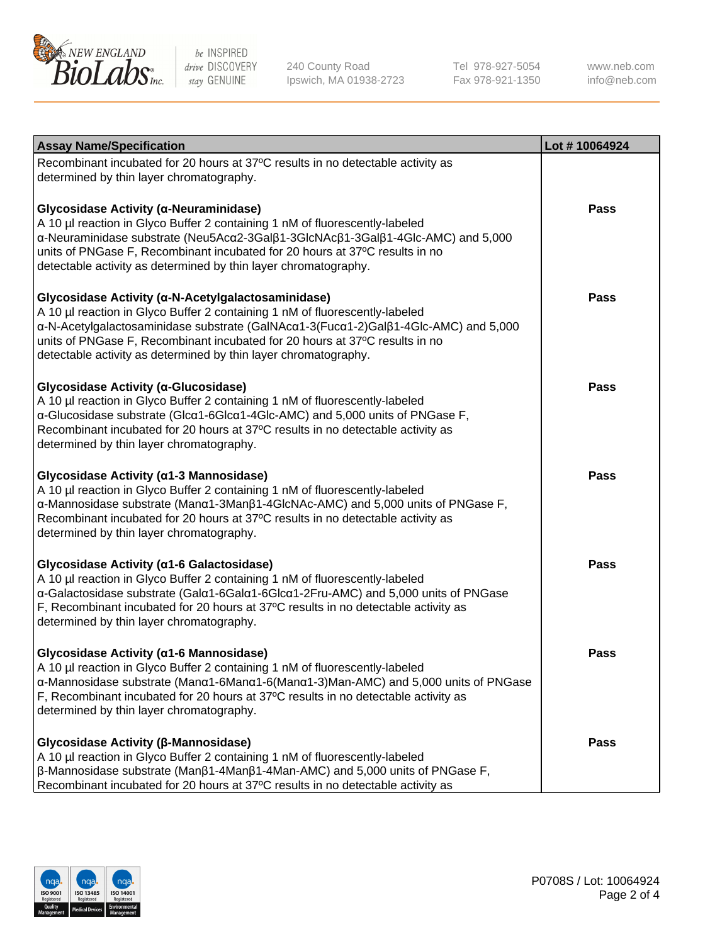

240 County Road Ipswich, MA 01938-2723 Tel 978-927-5054 Fax 978-921-1350

www.neb.com info@neb.com

| <b>Assay Name/Specification</b>                                                                                                                                                                                                                                                                                                                                            | Lot #10064924 |
|----------------------------------------------------------------------------------------------------------------------------------------------------------------------------------------------------------------------------------------------------------------------------------------------------------------------------------------------------------------------------|---------------|
| Recombinant incubated for 20 hours at 37°C results in no detectable activity as<br>determined by thin layer chromatography.                                                                                                                                                                                                                                                |               |
| Glycosidase Activity (α-Neuraminidase)<br>A 10 µl reaction in Glyco Buffer 2 containing 1 nM of fluorescently-labeled<br>α-Neuraminidase substrate (Neu5Acα2-3Galβ1-3GlcNAcβ1-3Galβ1-4Glc-AMC) and 5,000<br>units of PNGase F, Recombinant incubated for 20 hours at 37°C results in no<br>detectable activity as determined by thin layer chromatography.                 | Pass          |
| Glycosidase Activity (α-N-Acetylgalactosaminidase)<br>A 10 µl reaction in Glyco Buffer 2 containing 1 nM of fluorescently-labeled<br>α-N-Acetylgalactosaminidase substrate (GalNAcα1-3(Fucα1-2)Galβ1-4Glc-AMC) and 5,000<br>units of PNGase F, Recombinant incubated for 20 hours at 37°C results in no<br>detectable activity as determined by thin layer chromatography. | <b>Pass</b>   |
| Glycosidase Activity (α-Glucosidase)<br>A 10 µl reaction in Glyco Buffer 2 containing 1 nM of fluorescently-labeled<br>α-Glucosidase substrate (Glcα1-6Glcα1-4Glc-AMC) and 5,000 units of PNGase F,<br>Recombinant incubated for 20 hours at 37°C results in no detectable activity as<br>determined by thin layer chromatography.                                         | <b>Pass</b>   |
| Glycosidase Activity (α1-3 Mannosidase)<br>A 10 µl reaction in Glyco Buffer 2 containing 1 nM of fluorescently-labeled<br>α-Mannosidase substrate (Manα1-3Manβ1-4GlcNAc-AMC) and 5,000 units of PNGase F,<br>Recombinant incubated for 20 hours at 37°C results in no detectable activity as<br>determined by thin layer chromatography.                                   | <b>Pass</b>   |
| Glycosidase Activity (α1-6 Galactosidase)<br>A 10 µl reaction in Glyco Buffer 2 containing 1 nM of fluorescently-labeled<br>α-Galactosidase substrate (Galα1-6Galα1-6Glcα1-2Fru-AMC) and 5,000 units of PNGase<br>F, Recombinant incubated for 20 hours at 37°C results in no detectable activity as<br>determined by thin layer chromatography.                           | <b>Pass</b>   |
| Glycosidase Activity (α1-6 Mannosidase)<br>A 10 µl reaction in Glyco Buffer 2 containing 1 nM of fluorescently-labeled<br>α-Mannosidase substrate (Manα1-6Manα1-6(Manα1-3)Man-AMC) and 5,000 units of PNGase<br>F, Recombinant incubated for 20 hours at 37°C results in no detectable activity as<br>determined by thin layer chromatography.                             | Pass          |
| Glycosidase Activity (β-Mannosidase)<br>A 10 µl reaction in Glyco Buffer 2 containing 1 nM of fluorescently-labeled<br>$\beta$ -Mannosidase substrate (Man $\beta$ 1-4Man $\beta$ 1-4Man-AMC) and 5,000 units of PNGase F,<br>Recombinant incubated for 20 hours at 37°C results in no detectable activity as                                                              | Pass          |

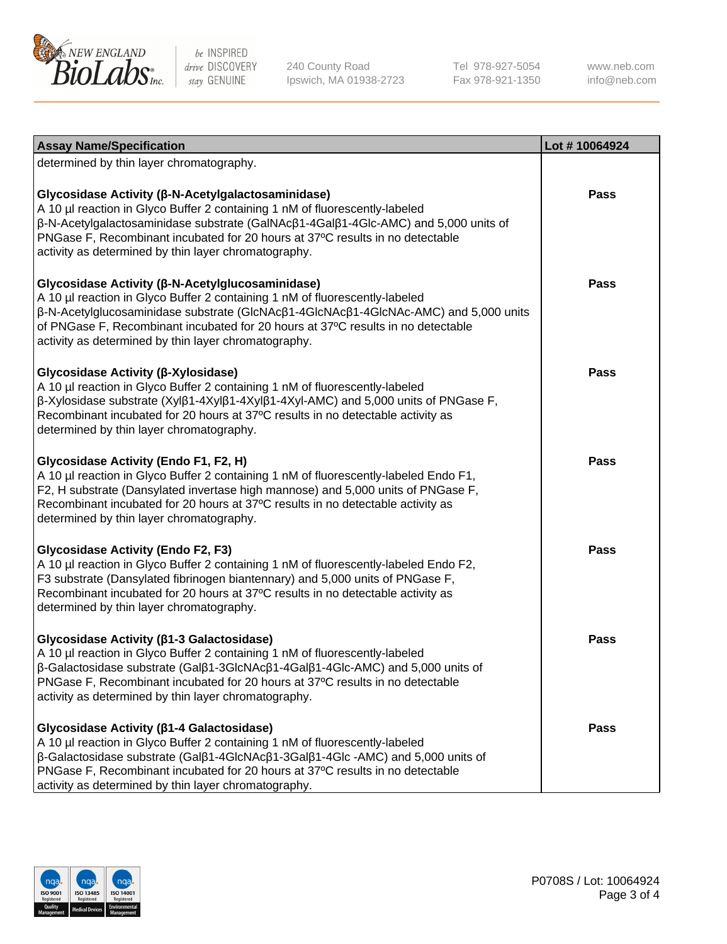

240 County Road Ipswich, MA 01938-2723 Tel 978-927-5054 Fax 978-921-1350

www.neb.com info@neb.com

| <b>Assay Name/Specification</b>                                                                                                                                                                                                                                                                                                                                        | Lot #10064924 |
|------------------------------------------------------------------------------------------------------------------------------------------------------------------------------------------------------------------------------------------------------------------------------------------------------------------------------------------------------------------------|---------------|
| determined by thin layer chromatography.                                                                                                                                                                                                                                                                                                                               |               |
| Glycosidase Activity (β-N-Acetylgalactosaminidase)<br>A 10 µl reaction in Glyco Buffer 2 containing 1 nM of fluorescently-labeled<br>β-N-Acetylgalactosaminidase substrate (GalNAcβ1-4Galβ1-4Glc-AMC) and 5,000 units of<br>PNGase F, Recombinant incubated for 20 hours at 37°C results in no detectable<br>activity as determined by thin layer chromatography.      | <b>Pass</b>   |
| Glycosidase Activity (β-N-Acetylglucosaminidase)<br>A 10 µl reaction in Glyco Buffer 2 containing 1 nM of fluorescently-labeled<br>β-N-Acetylglucosaminidase substrate (GlcNAcβ1-4GlcNAcβ1-4GlcNAc-AMC) and 5,000 units<br>of PNGase F, Recombinant incubated for 20 hours at 37°C results in no detectable<br>activity as determined by thin layer chromatography.    | <b>Pass</b>   |
| Glycosidase Activity (β-Xylosidase)<br>A 10 µl reaction in Glyco Buffer 2 containing 1 nM of fluorescently-labeled<br>$\beta$ -Xylosidase substrate (Xyl $\beta$ 1-4Xyl $\beta$ 1-4Xyl $\beta$ 1-4Xyl-AMC) and 5,000 units of PNGase F,<br>Recombinant incubated for 20 hours at 37°C results in no detectable activity as<br>determined by thin layer chromatography. | <b>Pass</b>   |
| Glycosidase Activity (Endo F1, F2, H)<br>A 10 µl reaction in Glyco Buffer 2 containing 1 nM of fluorescently-labeled Endo F1,<br>F2, H substrate (Dansylated invertase high mannose) and 5,000 units of PNGase F,<br>Recombinant incubated for 20 hours at 37°C results in no detectable activity as<br>determined by thin layer chromatography.                       | <b>Pass</b>   |
| <b>Glycosidase Activity (Endo F2, F3)</b><br>A 10 µl reaction in Glyco Buffer 2 containing 1 nM of fluorescently-labeled Endo F2,<br>F3 substrate (Dansylated fibrinogen biantennary) and 5,000 units of PNGase F,<br>Recombinant incubated for 20 hours at 37°C results in no detectable activity as<br>determined by thin layer chromatography.                      | <b>Pass</b>   |
| Glycosidase Activity (β1-3 Galactosidase)<br>A 10 µl reaction in Glyco Buffer 2 containing 1 nM of fluorescently-labeled<br>β-Galactosidase substrate (Galβ1-3GlcNAcβ1-4Galβ1-4Glc-AMC) and 5,000 units of<br>PNGase F, Recombinant incubated for 20 hours at 37°C results in no detectable<br>activity as determined by thin layer chromatography.                    | Pass          |
| Glycosidase Activity ( $\beta$ 1-4 Galactosidase)<br>A 10 µl reaction in Glyco Buffer 2 containing 1 nM of fluorescently-labeled<br>β-Galactosidase substrate (Galβ1-4GlcNAcβ1-3Galβ1-4Glc -AMC) and 5,000 units of<br>PNGase F, Recombinant incubated for 20 hours at 37°C results in no detectable<br>activity as determined by thin layer chromatography.           | Pass          |